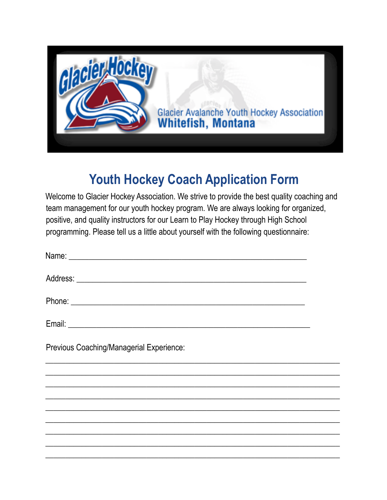

# **Youth Hockey Coach Application Form**

Welcome to Glacier Hockey Association. We strive to provide the best quality coaching and team management for our youth hockey program. We are always looking for organized, positive, and quality instructors for our Learn to Play Hockey through High School programming. Please tell us a little about yourself with the following questionnaire:

| Previous Coaching/Managerial Experience: |  |
|------------------------------------------|--|
|                                          |  |
|                                          |  |
|                                          |  |
|                                          |  |
|                                          |  |
|                                          |  |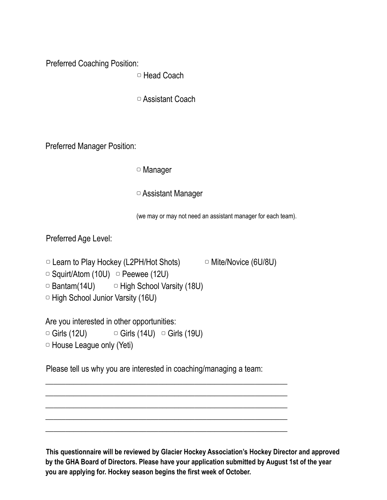Preferred Coaching Position:

▢ Head Coach

▢ Assistant Coach

Preferred Manager Position:

▢ Manager

▢ Assistant Manager

(we may or may not need an assistant manager for each team).

Preferred Age Level:

```
▢ Learn to Play Hockey (L2PH/Hot Shots) ▢ Mite/Novice (6U/8U)
```

```
\circ Squirt/Atom (10U) \circ Peewee (12U)
```

```
\Box Bantam(14U) \Box High School Varsity (18U)
```
▢ High School Junior Varsity (16U)

Are you interested in other opportunities:

 $\circ$  Girls (12U)  $\circ$  Girls (14U)  $\circ$  Girls (19U)

▢ House League only (Yeti)

Please tell us why you are interested in coaching/managing a team:

\_\_\_\_\_\_\_\_\_\_\_\_\_\_\_\_\_\_\_\_\_\_\_\_\_\_\_\_\_\_\_\_\_\_\_\_\_\_\_\_\_\_\_\_\_\_\_\_\_\_\_\_\_\_\_\_\_\_\_\_ \_\_\_\_\_\_\_\_\_\_\_\_\_\_\_\_\_\_\_\_\_\_\_\_\_\_\_\_\_\_\_\_\_\_\_\_\_\_\_\_\_\_\_\_\_\_\_\_\_\_\_\_\_\_\_\_\_\_\_\_ \_\_\_\_\_\_\_\_\_\_\_\_\_\_\_\_\_\_\_\_\_\_\_\_\_\_\_\_\_\_\_\_\_\_\_\_\_\_\_\_\_\_\_\_\_\_\_\_\_\_\_\_\_\_\_\_\_\_\_\_ \_\_\_\_\_\_\_\_\_\_\_\_\_\_\_\_\_\_\_\_\_\_\_\_\_\_\_\_\_\_\_\_\_\_\_\_\_\_\_\_\_\_\_\_\_\_\_\_\_\_\_\_\_\_\_\_\_\_\_\_ \_\_\_\_\_\_\_\_\_\_\_\_\_\_\_\_\_\_\_\_\_\_\_\_\_\_\_\_\_\_\_\_\_\_\_\_\_\_\_\_\_\_\_\_\_\_\_\_\_\_\_\_\_\_\_\_\_\_\_\_

**This questionnaire will be reviewed by Glacier Hockey Association's Hockey Director and approved by the GHA Board of Directors. Please have your application submitted by August 1st of the year you are applying for. Hockey season begins the first week of October.**